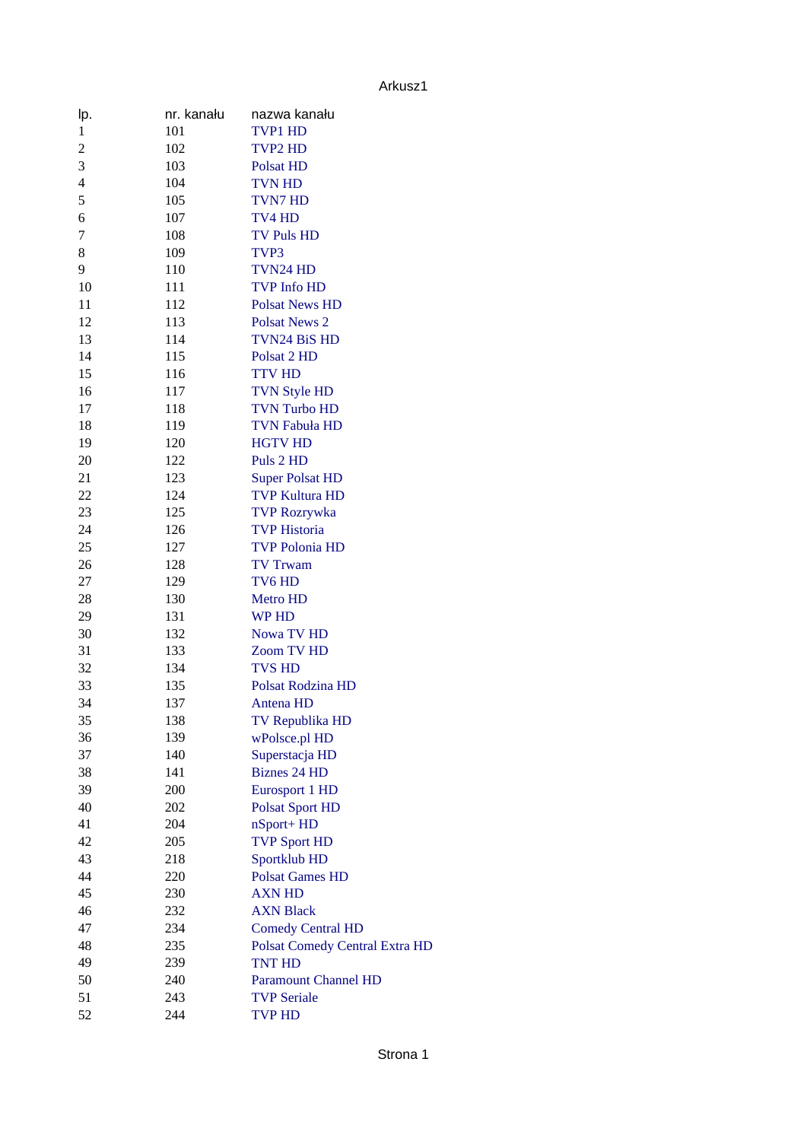Arkusz1

| lp.                      | nr. kanału | nazwa kanału                          |
|--------------------------|------------|---------------------------------------|
| $\mathbf 1$              | 101        | TVP1 HD                               |
| $\overline{2}$           | 102        | <b>TVP2 HD</b>                        |
| 3                        | 103        | <b>Polsat HD</b>                      |
| $\overline{\mathcal{L}}$ | 104        | <b>TVN HD</b>                         |
| 5                        | 105        | <b>TVN7 HD</b>                        |
| 6                        | 107        | TV4 HD                                |
| 7                        | 108        | <b>TV Puls HD</b>                     |
| 8                        | 109        | TVP3                                  |
| 9                        | 110        | TVN24 HD                              |
| 10                       | 111        | <b>TVP Info HD</b>                    |
| 11                       | 112        | <b>Polsat News HD</b>                 |
| 12                       | 113        | <b>Polsat News 2</b>                  |
| 13                       | 114        | <b>TVN24 BiS HD</b>                   |
| 14                       | 115        | Polsat 2 HD                           |
| 15                       | 116        | <b>TTV HD</b>                         |
| 16                       | 117        | <b>TVN Style HD</b>                   |
| 17                       | 118        | <b>TVN Turbo HD</b>                   |
| 18                       | 119        | <b>TVN Fabuła HD</b>                  |
| 19                       | 120        | <b>HGTV HD</b>                        |
| 20                       | 122        | Puls 2 HD                             |
| 21                       | 123        | <b>Super Polsat HD</b>                |
| 22                       | 124        | <b>TVP Kultura HD</b>                 |
| 23                       | 125        | <b>TVP Rozrywka</b>                   |
| 24                       | 126        | <b>TVP Historia</b>                   |
| 25                       | 127        | <b>TVP Polonia HD</b>                 |
| 26                       | 128        | <b>TV Trwam</b>                       |
| 27                       | 129        | TV6 HD                                |
| 28                       | 130        | <b>Metro HD</b>                       |
| 29                       | 131        | <b>WP HD</b>                          |
| 30                       | 132        | <b>Nowa TV HD</b>                     |
| 31                       | 133        | <b>Zoom TV HD</b>                     |
| 32                       | 134        | <b>TVS HD</b>                         |
| 33                       | 135        | Polsat Rodzina HD                     |
| 34                       | 137        | <b>Antena HD</b>                      |
| 35                       | 138        | TV Republika HD                       |
| 36                       | 139        | wPolsce.pl HD                         |
| 37                       | 140        | Superstacja HD                        |
| 38                       | 141        | <b>Biznes 24 HD</b>                   |
| 39                       | 200        | <b>Eurosport 1 HD</b>                 |
| 40                       | 202        | <b>Polsat Sport HD</b>                |
| 41                       | 204        | nSport+HD                             |
| 42                       | 205        | <b>TVP Sport HD</b>                   |
| 43                       | 218        | Sportklub HD                          |
| 44                       | 220        | <b>Polsat Games HD</b>                |
| 45                       | 230        | <b>AXN HD</b>                         |
| 46                       | 232        | <b>AXN Black</b>                      |
| 47                       | 234        | <b>Comedy Central HD</b>              |
| 48                       | 235        | <b>Polsat Comedy Central Extra HD</b> |
| 49                       | 239        | <b>TNT HD</b>                         |
| 50                       | 240        | <b>Paramount Channel HD</b>           |
| 51                       | 243        | <b>TVP Seriale</b>                    |
| 52                       | 244        | <b>TVP HD</b>                         |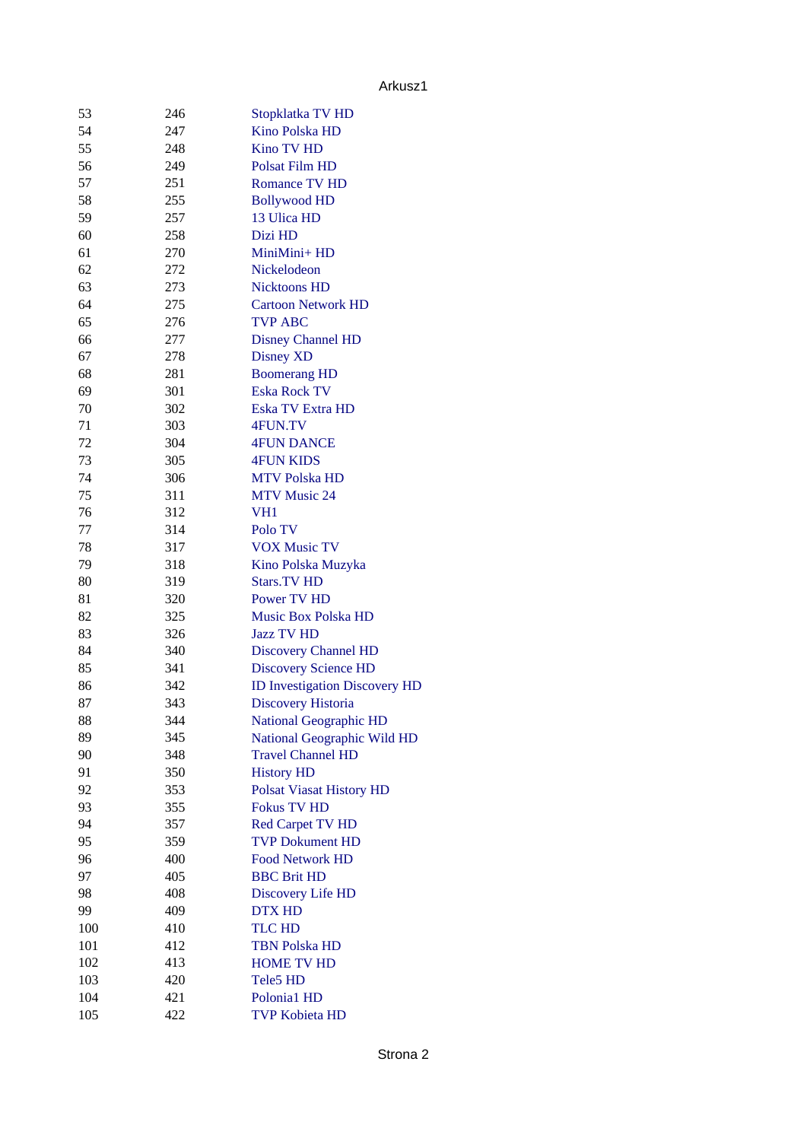## Arkusz1

| 53  | 246 | Stopklatka TV HD                     |
|-----|-----|--------------------------------------|
| 54  | 247 | Kino Polska HD                       |
| 55  | 248 | <b>Kino TV HD</b>                    |
| 56  | 249 | Polsat Film HD                       |
| 57  | 251 | Romance TV HD                        |
| 58  | 255 | <b>Bollywood HD</b>                  |
| 59  | 257 | 13 Ulica HD                          |
| 60  | 258 | Dizi HD                              |
| 61  | 270 | MiniMini+HD                          |
| 62  | 272 | Nickelodeon                          |
| 63  | 273 | <b>Nicktoons HD</b>                  |
| 64  | 275 | <b>Cartoon Network HD</b>            |
| 65  | 276 | <b>TVP ABC</b>                       |
| 66  | 277 | <b>Disney Channel HD</b>             |
| 67  | 278 | <b>Disney XD</b>                     |
| 68  | 281 | <b>Boomerang HD</b>                  |
| 69  | 301 | <b>Eska Rock TV</b>                  |
| 70  | 302 | Eska TV Extra HD                     |
| 71  | 303 | 4FUN.TV                              |
| 72  | 304 | <b>4FUN DANCE</b>                    |
| 73  | 305 | <b>4FUN KIDS</b>                     |
| 74  | 306 | <b>MTV Polska HD</b>                 |
| 75  | 311 | <b>MTV Music 24</b>                  |
| 76  | 312 | VH <sub>1</sub>                      |
| 77  | 314 | Polo TV                              |
| 78  | 317 | <b>VOX Music TV</b>                  |
| 79  | 318 | Kino Polska Muzyka                   |
| 80  | 319 | <b>Stars.TV HD</b>                   |
| 81  | 320 | Power TV HD                          |
| 82  | 325 | <b>Music Box Polska HD</b>           |
| 83  | 326 | <b>Jazz TV HD</b>                    |
| 84  | 340 | <b>Discovery Channel HD</b>          |
| 85  | 341 | <b>Discovery Science HD</b>          |
| 86  | 342 | <b>ID Investigation Discovery HD</b> |
| 87  | 343 | <b>Discovery Historia</b>            |
| 88  | 344 | <b>National Geographic HD</b>        |
| 89  | 345 | National Geographic Wild HD          |
| 90  | 348 | <b>Travel Channel HD</b>             |
| 91  | 350 | <b>History HD</b>                    |
| 92  | 353 | <b>Polsat Viasat History HD</b>      |
| 93  | 355 | <b>Fokus TV HD</b>                   |
| 94  | 357 | <b>Red Carpet TV HD</b>              |
| 95  | 359 | <b>TVP Dokument HD</b>               |
| 96  | 400 | <b>Food Network HD</b>               |
| 97  | 405 | <b>BBC Brit HD</b>                   |
| 98  | 408 | <b>Discovery Life HD</b>             |
| 99  | 409 | <b>DTX HD</b>                        |
| 100 | 410 | <b>TLC HD</b>                        |
| 101 | 412 | <b>TBN Polska HD</b>                 |
| 102 | 413 | <b>HOME TV HD</b>                    |
| 103 | 420 | Tele5 HD                             |
| 104 | 421 | Polonia1 HD                          |
| 105 | 422 | <b>TVP Kobieta HD</b>                |